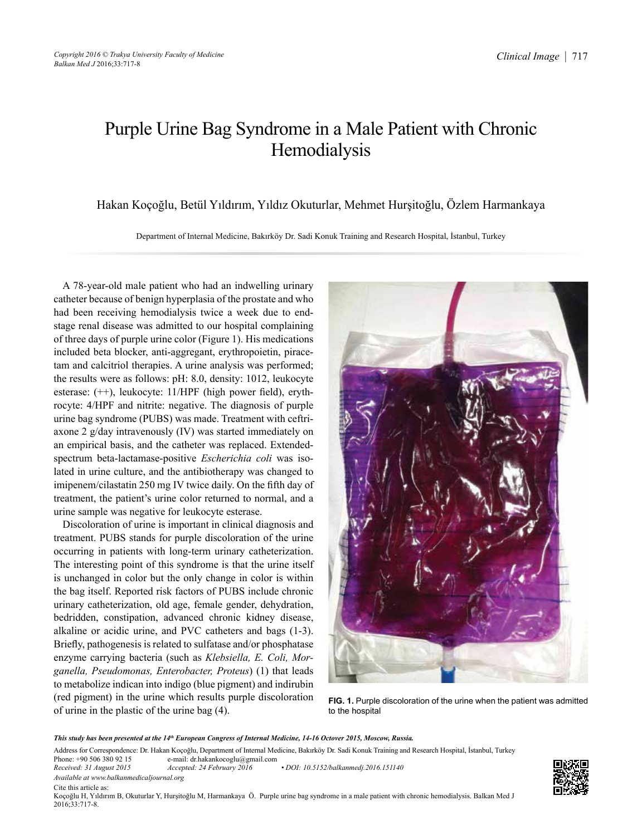## Purple Urine Bag Syndrome in a Male Patient with Chronic Hemodialysis

Hakan Koçoğlu, Betül Yıldırım, Yıldız Okuturlar, Mehmet Hurşitoğlu, Özlem Harmankaya

Department of Internal Medicine, Bakırköy Dr. Sadi Konuk Training and Research Hospital, İstanbul, Turkey

A 78-year-old male patient who had an indwelling urinary catheter because of benign hyperplasia of the prostate and who had been receiving hemodialysis twice a week due to endstage renal disease was admitted to our hospital complaining of three days of purple urine color (Figure 1). His medications included beta blocker, anti-aggregant, erythropoietin, piracetam and calcitriol therapies. A urine analysis was performed; the results were as follows: pH: 8.0, density: 1012, leukocyte esterase: (++), leukocyte: 11/HPF (high power field), erythrocyte: 4/HPF and nitrite: negative. The diagnosis of purple urine bag syndrome (PUBS) was made. Treatment with ceftriaxone 2 g/day intravenously (IV) was started immediately on an empirical basis, and the catheter was replaced. Extendedspectrum beta-lactamase-positive *Escherichia coli* was isolated in urine culture, and the antibiotherapy was changed to imipenem/cilastatin 250 mg IV twice daily. On the fifth day of treatment, the patient's urine color returned to normal, and a urine sample was negative for leukocyte esterase.

Discoloration of urine is important in clinical diagnosis and treatment. PUBS stands for purple discoloration of the urine occurring in patients with long-term urinary catheterization. The interesting point of this syndrome is that the urine itself is unchanged in color but the only change in color is within the bag itself. Reported risk factors of PUBS include chronic urinary catheterization, old age, female gender, dehydration, bedridden, constipation, advanced chronic kidney disease, alkaline or acidic urine, and PVC catheters and bags (1-3). Briefly, pathogenesis is related to sulfatase and/or phosphatase enzyme carrying bacteria (such as *Klebsiella, E. Coli, Morganella, Pseudomonas, Enterobacter, Proteus*) (1) that leads to metabolize indican into indigo (blue pigment) and indirubin (red pigment) in the urine which results purple discoloration of urine in the plastic of the urine bag (4).



**FIG. 1.** Purple discoloration of the urine when the patient was admitted to the hospital

*This study has been presented at the 14th European Congress of Internal Medicine, 14-16 Octover 2015, Moscow, Russia.*

Address for Correspondence: Dr. Hakan Koçoğlu, Department of Internal Medicine, Bakırköy Dr. Sadi Konuk Training and Research Hospital, İstanbul, Turkey Phone: +90 506 380 92 15 e-mail: dr.hakankocoglu@gmail.com

Phone: +90 506 380 92 15 e-mail: dr.hakankocoglu@gmail.com<br>Received: 31 August 2015 Accepted: 24 February 2016 *Received: 31 August 2015 Accepted: 24 February 2016 • DOI: 10.5152/balkanmedj.2016.151140 Available at www.balkanmedicaljournal.org*